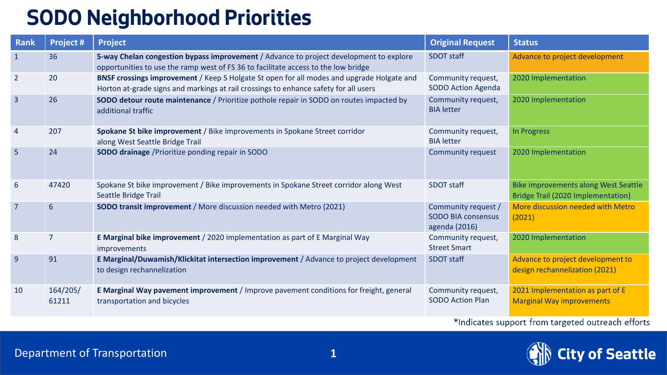## **SODO Neighborhood Priorities**

| Rank           | <b>Project#</b>   | <b>Project</b>                                                                                                                                                                    | <b>Original Request</b>                                           | <b>Status</b>                                                              |
|----------------|-------------------|-----------------------------------------------------------------------------------------------------------------------------------------------------------------------------------|-------------------------------------------------------------------|----------------------------------------------------------------------------|
| $\mathbf{1}$   | 36                | 5-way Chelan congestion bypass improvement / Advance to project development to explore<br>opportunities to use the ramp west of FS 36 to facilitate access to the low bridge      | <b>SDOT staff</b>                                                 | Advance to project development                                             |
| $\overline{2}$ | 20                | BNSF crossings improvement / Keep S Holgate St open for all modes and upgrade Holgate and<br>Horton at-grade signs and markings at rail crossings to enhance safety for all users | Community request,<br>SODO Action Agenda                          | 2020 Implementation                                                        |
| $\overline{3}$ | 26                | <b>SODO detour route maintenance</b> / Prioritize pothole repair in SODO on routes impacted by<br>additional traffic                                                              | Community request,<br><b>BIA</b> letter                           | 2020 Implementation                                                        |
| 4              | 207               | Spokane St bike improvement / Bike improvements in Spokane Street corridor<br>along West Seattle Bridge Trail                                                                     | Community request,<br><b>BIA</b> letter                           | In Progress                                                                |
| 5              | 24                | <b>SODO drainage</b> / Prioritize ponding repair in SODO                                                                                                                          | Community request                                                 | 2020 Implementation                                                        |
| 6              | 47420             | Spokane St bike improvement / Bike improvements in Spokane Street corridor along West<br>Seattle Bridge Trail                                                                     | <b>SDOT staff</b>                                                 | Bike improvements along West Seattle<br>Bridge Trail (2020 Implementation) |
| $\overline{7}$ | 6                 | <b>SODO transit improvement / More discussion needed with Metro (2021)</b>                                                                                                        | Community request /<br><b>SODO BIA consensus</b><br>agenda (2016) | More discussion needed with Metro<br>(2021)                                |
| 8              | 7                 | E Marginal bike improvement / 2020 implementation as part of E Marginal Way<br>improvements                                                                                       | Community request,<br><b>Street Smart</b>                         | 2020 Implementation                                                        |
| 9              | 91                | E Marginal/Duwamish/Klickitat intersection improvement / Advance to project development<br>to design rechannelization                                                             | <b>SDOT staff</b>                                                 | Advance to project development to<br>design rechannelization (2021)        |
| 10             | 164/205/<br>61211 | E Marginal Way pavement improvement / Improve pavement conditions for freight, general<br>transportation and bicycles                                                             | Community request,<br><b>SODO Action Plan</b>                     | 2021 Implementation as part of E<br><b>Marginal Way improvements</b>       |

\*Indicates support from targeted outreach efforts